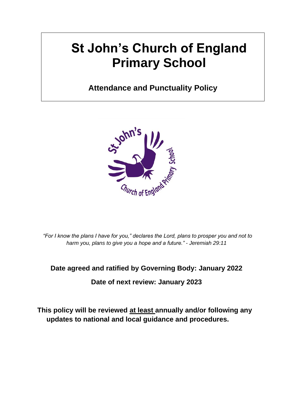# **St John's Church of England Primary School**

# **Attendance and Punctuality Policy**



*"For I know the plans I have for you," declares the Lord, plans to prosper you and not to harm you, plans to give you a hope and a future." - Jeremiah 29:11*

# **Date agreed and ratified by Governing Body: January 2022**

**Date of next review: January 2023**

**This policy will be reviewed at least annually and/or following any updates to national and local guidance and procedures.**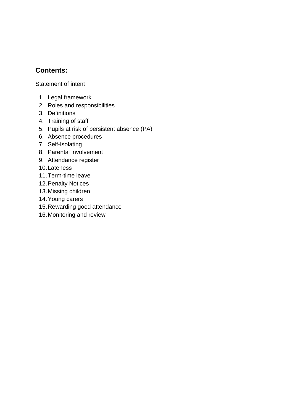# **Contents:**

Statement of intent

- 1. Legal framework
- 2. Roles and responsibilities
- 3. Definitions
- 4. Training of staff
- 5. Pupils at risk of persistent absence (PA)
- 6. Absence procedures
- 7. Self-Isolating
- 8. Parental involvement
- 9. Attendance register
- 10.Lateness
- 11.Term-time leave
- 12.Penalty Notices
- 13.Missing children
- 14.Young carers
- 15.Rewarding good attendance
- 16.Monitoring and review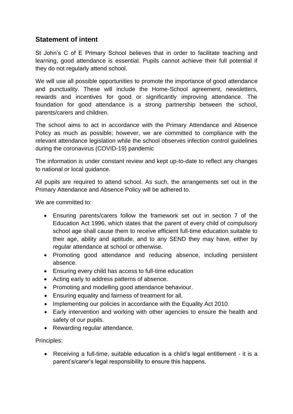# **Statement of intent**

St John's C of E Primary School believes that in order to facilitate teaching and learning, good attendance is essential. Pupils cannot achieve their full potential if they do not regularly attend school.

We will use all possible opportunities to promote the importance of good attendance and punctuality. These will include the Home-School agreement, newsletters, rewards and incentives for good or significantly improving attendance. The foundation for good attendance is a strong partnership between the school, parents/carers and children.

The school aims to act in accordance with the Primary Attendance and Absence Policy as much as possible; however, we are committed to compliance with the relevant attendance legislation while the school observes infection control guidelines during the coronavirus (COVID-19) pandemic

The information is under constant review and kept up-to-date to reflect any changes to national or local guidance.

All pupils are required to attend school. As such, the arrangements set out in the Primary Attendance and Absence Policy will be adhered to.

We are committed to:

- Ensuring parents/carers follow the framework set out in section 7 of the Education Act 1996, which states that the parent of every child of compulsory school age shall cause them to receive efficient full-time education suitable to their age, ability and aptitude, and to any SEND they may have, either by regular attendance at school or otherwise.
- Promoting good attendance and reducing absence, including persistent absence.
- Ensuring every child has access to full-time education
- Acting early to address patterns of absence.
- Promoting and modelling good attendance behaviour.
- Ensuring equality and fairness of treatment for all.
- Implementing our policies in accordance with the Equality Act 2010.
- Early intervention and working with other agencies to ensure the health and safety of our pupils.
- Rewarding regular attendance.

Principles:

• Receiving a full-time, suitable education is a child's legal entitlement - it is a parent's/carer's legal responsibility to ensure this happens.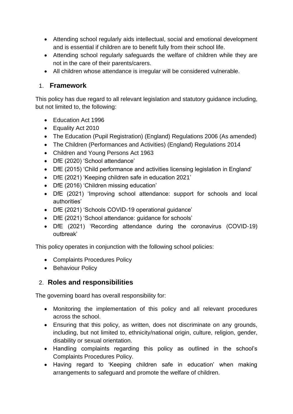- Attending school regularly aids intellectual, social and emotional development and is essential if children are to benefit fully from their school life.
- Attending school regularly safeguards the welfare of children while they are not in the care of their parents/carers.
- All children whose attendance is irregular will be considered vulnerable.

# 1. **Framework**

This policy has due regard to all relevant legislation and statutory guidance including, but not limited to, the following:

- Education Act 1996
- Equality Act 2010
- The Education (Pupil Registration) (England) Regulations 2006 (As amended)
- The Children (Performances and Activities) (England) Regulations 2014
- Children and Young Persons Act 1963
- DfE (2020) 'School attendance'
- DfE (2015) 'Child performance and activities licensing legislation in England'
- DfE (2021) 'Keeping children safe in education 2021'
- DfE (2016) 'Children missing education'
- DfE (2021) 'Improving school attendance: support for schools and local authorities'
- DfE (2021) 'Schools COVID-19 operational guidance'
- DfE (2021) 'School attendance: guidance for schools'
- DfE (2021) 'Recording attendance during the coronavirus (COVID-19) outbreak'

This policy operates in conjunction with the following school policies:

- Complaints Procedures Policy
- Behaviour Policy

# 2. **Roles and responsibilities**

The governing board has overall responsibility for:

- Monitoring the implementation of this policy and all relevant procedures across the school.
- Ensuring that this policy, as written, does not discriminate on any grounds, including, but not limited to, ethnicity/national origin, culture, religion, gender, disability or sexual orientation.
- Handling complaints regarding this policy as outlined in the school's Complaints Procedures Policy.
- Having regard to 'Keeping children safe in education' when making arrangements to safeguard and promote the welfare of children.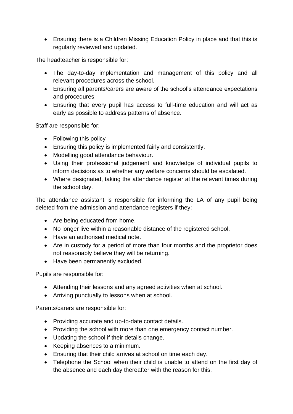• Ensuring there is a Children Missing Education Policy in place and that this is regularly reviewed and updated.

The headteacher is responsible for:

- The day-to-day implementation and management of this policy and all relevant procedures across the school.
- Ensuring all parents/carers are aware of the school's attendance expectations and procedures.
- Ensuring that every pupil has access to full-time education and will act as early as possible to address patterns of absence.

Staff are responsible for:

- Following this policy
- Ensuring this policy is implemented fairly and consistently.
- Modelling good attendance behaviour.
- Using their professional judgement and knowledge of individual pupils to inform decisions as to whether any welfare concerns should be escalated.
- Where designated, taking the attendance register at the relevant times during the school day.

The attendance assistant is responsible for informing the LA of any pupil being deleted from the admission and attendance registers if they:

- Are being educated from home.
- No longer live within a reasonable distance of the registered school.
- Have an authorised medical note.
- Are in custody for a period of more than four months and the proprietor does not reasonably believe they will be returning.
- Have been permanently excluded.

Pupils are responsible for:

- Attending their lessons and any agreed activities when at school.
- Arriving punctually to lessons when at school.

Parents/carers are responsible for:

- Providing accurate and up-to-date contact details.
- Providing the school with more than one emergency contact number.
- Updating the school if their details change.
- Keeping absences to a minimum.
- Ensuring that their child arrives at school on time each day.
- Telephone the School when their child is unable to attend on the first day of the absence and each day thereafter with the reason for this.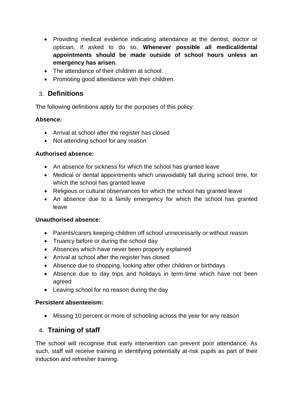- Providing medical evidence indicating attendance at the dentist, doctor or optician, if asked to do so. **Whenever possible all medical/dental appointments should be made outside of school hours unless an emergency has arisen.**
- The attendance of their children at school.
- Promoting good attendance with their children.

## 3. **Definitions**

The following definitions apply for the purposes of this policy:

#### **Absence:**

- Arrival at school after the register has closed
- Not attending school for any reason

#### **Authorised absence:**

- An absence for sickness for which the school has granted leave
- Medical or dental appointments which unavoidably fall during school time, for which the school has granted leave
- Religious or cultural observances for which the school has granted leave
- An absence due to a family emergency for which the school has granted leave

#### **Unauthorised absence:**

- Parents/carers keeping children off school unnecessarily or without reason
- Truancy before or during the school day
- Absences which have never been properly explained
- Arrival at school after the register has closed
- Absence due to shopping, looking after other children or birthdays
- Absence due to day trips and holidays in term-time which have not been agreed
- Leaving school for no reason during the day

#### **Persistent absenteeism:**

• Missing 10 percent or more of schooling across the year for any reason

# 4. **Training of staff**

The school will recognise that early intervention can prevent poor attendance. As such, staff will receive training in identifying potentially at-risk pupils as part of their induction and refresher training.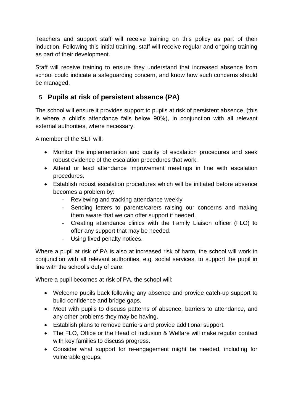Teachers and support staff will receive training on this policy as part of their induction. Following this initial training, staff will receive regular and ongoing training as part of their development.

Staff will receive training to ensure they understand that increased absence from school could indicate a safeguarding concern, and know how such concerns should be managed.

# 5. **Pupils at risk of persistent absence (PA)**

The school will ensure it provides support to pupils at risk of persistent absence, (this is where a child's attendance falls below 90%), in conjunction with all relevant external authorities, where necessary.

A member of the SLT will:

- Monitor the implementation and quality of escalation procedures and seek robust evidence of the escalation procedures that work.
- Attend or lead attendance improvement meetings in line with escalation procedures.
- Establish robust escalation procedures which will be initiated before absence becomes a problem by:
	- Reviewing and tracking attendance weekly
	- Sending letters to parents/carers raising our concerns and making them aware that we can offer support if needed.
	- Creating attendance clinics with the Family Liaison officer (FLO) to offer any support that may be needed.
	- Using fixed penalty notices.

Where a pupil at risk of PA is also at increased risk of harm, the school will work in conjunction with all relevant authorities, e.g. social services, to support the pupil in line with the school's duty of care.

Where a pupil becomes at risk of PA, the school will:

- Welcome pupils back following any absence and provide catch-up support to build confidence and bridge gaps.
- Meet with pupils to discuss patterns of absence, barriers to attendance, and any other problems they may be having.
- Establish plans to remove barriers and provide additional support.
- The FLO, Office or the Head of Inclusion & Welfare will make regular contact with key families to discuss progress.
- Consider what support for re-engagement might be needed, including for vulnerable groups.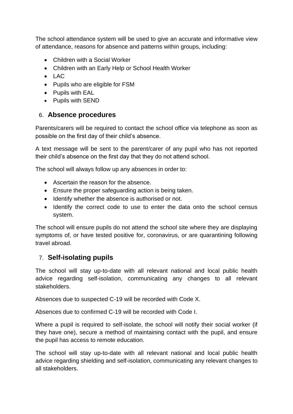The school attendance system will be used to give an accurate and informative view of attendance, reasons for absence and patterns within groups, including:

- Children with a Social Worker
- Children with an Early Help or School Health Worker
- LAC
- Pupils who are eligible for FSM
- Pupils with EAL
- Pupils with SEND

#### 6. **Absence procedures**

Parents/carers will be required to contact the school office via telephone as soon as possible on the first day of their child's absence.

A text message will be sent to the parent/carer of any pupil who has not reported their child's absence on the first day that they do not attend school.

The school will always follow up any absences in order to:

- Ascertain the reason for the absence.
- Ensure the proper safeguarding action is being taken.
- Identify whether the absence is authorised or not.
- Identify the correct code to use to enter the data onto the school census system.

The school will ensure pupils do not attend the school site where they are displaying symptoms of, or have tested positive for, coronavirus, or are quarantining following travel abroad.

## 7. **Self-isolating pupils**

The school will stay up-to-date with all relevant national and local public health advice regarding self-isolation, communicating any changes to all relevant stakeholders.

Absences due to suspected C-19 will be recorded with Code X.

Absences due to confirmed C-19 will be recorded with Code I.

Where a pupil is required to self-isolate, the school will notify their social worker (if they have one), secure a method of maintaining contact with the pupil, and ensure the pupil has access to remote education.

The school will stay up-to-date with all relevant national and local public health advice regarding shielding and self-isolation, communicating any relevant changes to all stakeholders.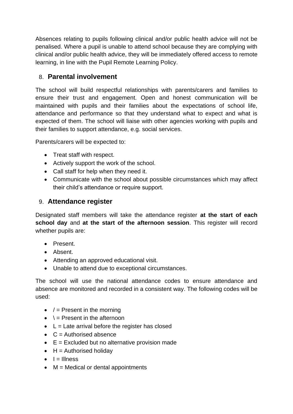Absences relating to pupils following clinical and/or public health advice will not be penalised. Where a pupil is unable to attend school because they are complying with clinical and/or public health advice, they will be immediately offered access to remote learning, in line with the Pupil Remote Learning Policy.

# 8. **Parental involvement**

The school will build respectful relationships with parents/carers and families to ensure their trust and engagement. Open and honest communication will be maintained with pupils and their families about the expectations of school life, attendance and performance so that they understand what to expect and what is expected of them. The school will liaise with other agencies working with pupils and their families to support attendance, e.g. social services.

Parents/carers will be expected to:

- Treat staff with respect.
- Actively support the work of the school.
- Call staff for help when they need it.
- Communicate with the school about possible circumstances which may affect their child's attendance or require support.

# 9. **Attendance register**

Designated staff members will take the attendance register **at the start of each school day** and **at the start of the afternoon session**. This register will record whether pupils are:

- Present.
- Absent.
- Attending an approved educational visit.
- Unable to attend due to exceptional circumstances.

The school will use the national attendance codes to ensure attendance and absence are monitored and recorded in a consistent way. The following codes will be used:

- $\bullet$  / = Present in the morning
- $\bullet \quad \searrow$  Present in the afternoon
- $\bullet$  L = Late arrival before the register has closed
- $\bullet$  C = Authorised absence
- $\bullet$   $E =$  Excluded but no alternative provision made
- $\bullet$  H = Authorised holiday
- $\bullet$   $I =$  Illness
- $\bullet$  M = Medical or dental appointments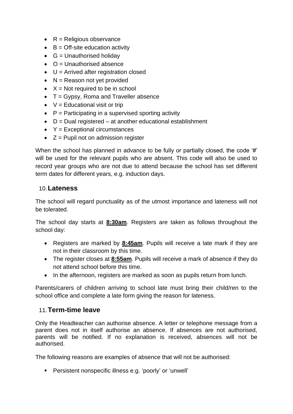- $\bullet$  R = Religious observance
- $\bullet$  B = Off-site education activity
- $\bullet$  G = Unauthorised holiday
- $\bullet$   $\circ$   $\circ$  = Unauthorised absence
- $\bullet$  U = Arrived after registration closed
- $\bullet$  N = Reason not yet provided
- $X = Not required to be in school$
- T = Gypsy, Roma and Traveller absence
- $\bullet\quad$  V = Educational visit or trip
- $\bullet$   $\mathsf{P}$  = Participating in a supervised sporting activity
- $\bullet$  D = Dual registered at another educational establishment
- $Y = Exceptional circumstances$
- $\bullet$   $Z =$  Pupil not on admission register

When the school has planned in advance to be fully or partially closed, the code '#' will be used for the relevant pupils who are absent. This code will also be used to record year groups who are not due to attend because the school has set different term dates for different years, e.g. induction days.

#### 10.**Lateness**

The school will regard punctuality as of the utmost importance and lateness will not be tolerated.

The school day starts at **8:30am**. Registers are taken as follows throughout the school day:

- Registers are marked by **8:45am**. Pupils will receive a late mark if they are not in their classroom by this time.
- The register closes at **8:55am**. Pupils will receive a mark of absence if they do not attend school before this time.
- In the afternoon, registers are marked as soon as pupils return from lunch.

Parents/carers of children arriving to school late must bring their child/ren to the school office and complete a late form giving the reason for lateness.

## 11.**Term-time leave**

Only the Headteacher can authorise absence. A letter or telephone message from a parent does not in itself authorise an absence. If absences are not authorised, parents will be notified. If no explanation is received, absences will not be authorised.

The following reasons are examples of absence that will not be authorised:

▪ Persistent nonspecific illness e.g. 'poorly' or 'unwell'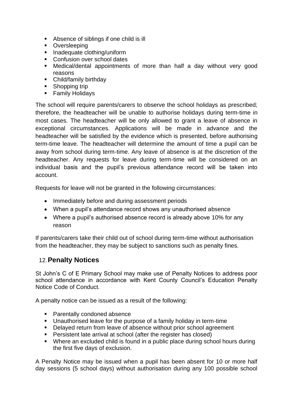- Absence of siblings if one child is ill
- Oversleeping
- Inadequate clothing/uniform
- Confusion over school dates
- Medical/dental appointments of more than half a day without very good reasons
- Child/family birthday
- Shopping trip
- **E** Family Holidays

The school will require parents/carers to observe the school holidays as prescribed; therefore, the headteacher will be unable to authorise holidays during term-time in most cases. The headteacher will be only allowed to grant a leave of absence in exceptional circumstances. Applications will be made in advance and the headteacher will be satisfied by the evidence which is presented, before authorising term-time leave. The headteacher will determine the amount of time a pupil can be away from school during term-time. Any leave of absence is at the discretion of the headteacher. Any requests for leave during term-time will be considered on an individual basis and the pupil's previous attendance record will be taken into account.

Requests for leave will not be granted in the following circumstances:

- Immediately before and during assessment periods
- When a pupil's attendance record shows any unauthorised absence
- Where a pupil's authorised absence record is already above 10% for any reason

If parents/carers take their child out of school during term-time without authorisation from the headteacher, they may be subject to sanctions such as penalty fines.

## 12.**Penalty Notices**

St John's C of E Primary School may make use of Penalty Notices to address poor school attendance in accordance with Kent County Council's Education Penalty Notice Code of Conduct.

A penalty notice can be issued as a result of the following:

- Parentally condoned absence
- Unauthorised leave for the purpose of a family holiday in term-time
- Delayed return from leave of absence without prior school agreement
- **•** Persistent late arrival at school (after the register has closed)
- Where an excluded child is found in a public place during school hours during the first five days of exclusion.

A Penalty Notice may be issued when a pupil has been absent for 10 or more half day sessions (5 school days) without authorisation during any 100 possible school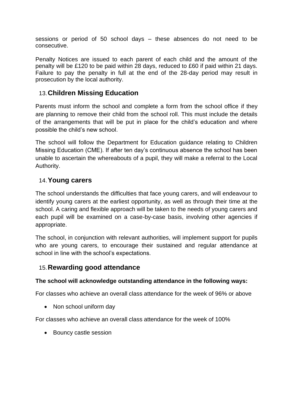sessions or period of 50 school days – these absences do not need to be consecutive.

Penalty Notices are issued to each parent of each child and the amount of the penalty will be £120 to be paid within 28 days, reduced to £60 if paid within 21 days. Failure to pay the penalty in full at the end of the 28-day period may result in prosecution by the local authority.

## 13.**Children Missing Education**

Parents must inform the school and complete a form from the school office if they are planning to remove their child from the school roll. This must include the details of the arrangements that will be put in place for the child's education and where possible the child's new school.

The school will follow the Department for Education guidance relating to Children Missing Education (CME). If after ten day's continuous absence the school has been unable to ascertain the whereabouts of a pupil, they will make a referral to the Local Authority.

## 14.**Young carers**

The school understands the difficulties that face young carers, and will endeavour to identify young carers at the earliest opportunity, as well as through their time at the school. A caring and flexible approach will be taken to the needs of young carers and each pupil will be examined on a case-by-case basis, involving other agencies if appropriate.

The school, in conjunction with relevant authorities, will implement support for pupils who are young carers, to encourage their sustained and regular attendance at school in line with the school's expectations.

## 15.**Rewarding good attendance**

#### **The school will acknowledge outstanding attendance in the following ways:**

For classes who achieve an overall class attendance for the week of 96% or above

• Non school uniform day

For classes who achieve an overall class attendance for the week of 100%

• Bouncy castle session